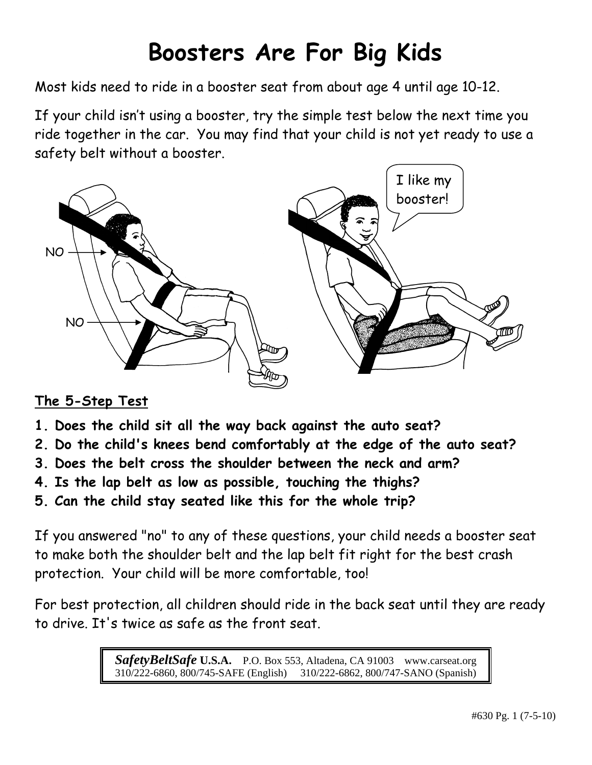# **Boosters Are For Big Kids**

Most kids need to ride in a booster seat from about age 4 until age 10-12.

If your child isn't using a booster, try the simple test below the next time you ride together in the car. You may find that your child is not yet ready to use a safety belt without a booster.



# **The 5-Step Test**

- **1. Does the child sit all the way back against the auto seat?**
- **2. Do the child's knees bend comfortably at the edge of the auto seat?**
- **3. Does the belt cross the shoulder between the neck and arm?**
- **4. Is the lap belt as low as possible, touching the thighs?**
- **5. Can the child stay seated like this for the whole trip?**

If you answered "no" to any of these questions, your child needs a booster seat to make both the shoulder belt and the lap belt fit right for the best crash protection. Your child will be more comfortable, too!

For best protection, all children should ride in the back seat until they are ready to drive. It's twice as safe as the front seat.

> *SafetyBeltSafe* **U.S.A.** P.O. Box 553, Altadena, CA 91003 www.carseat.org 310/222-6860, 800/745-SAFE (English) 310/222-6862, 800/747-SANO (Spanish)